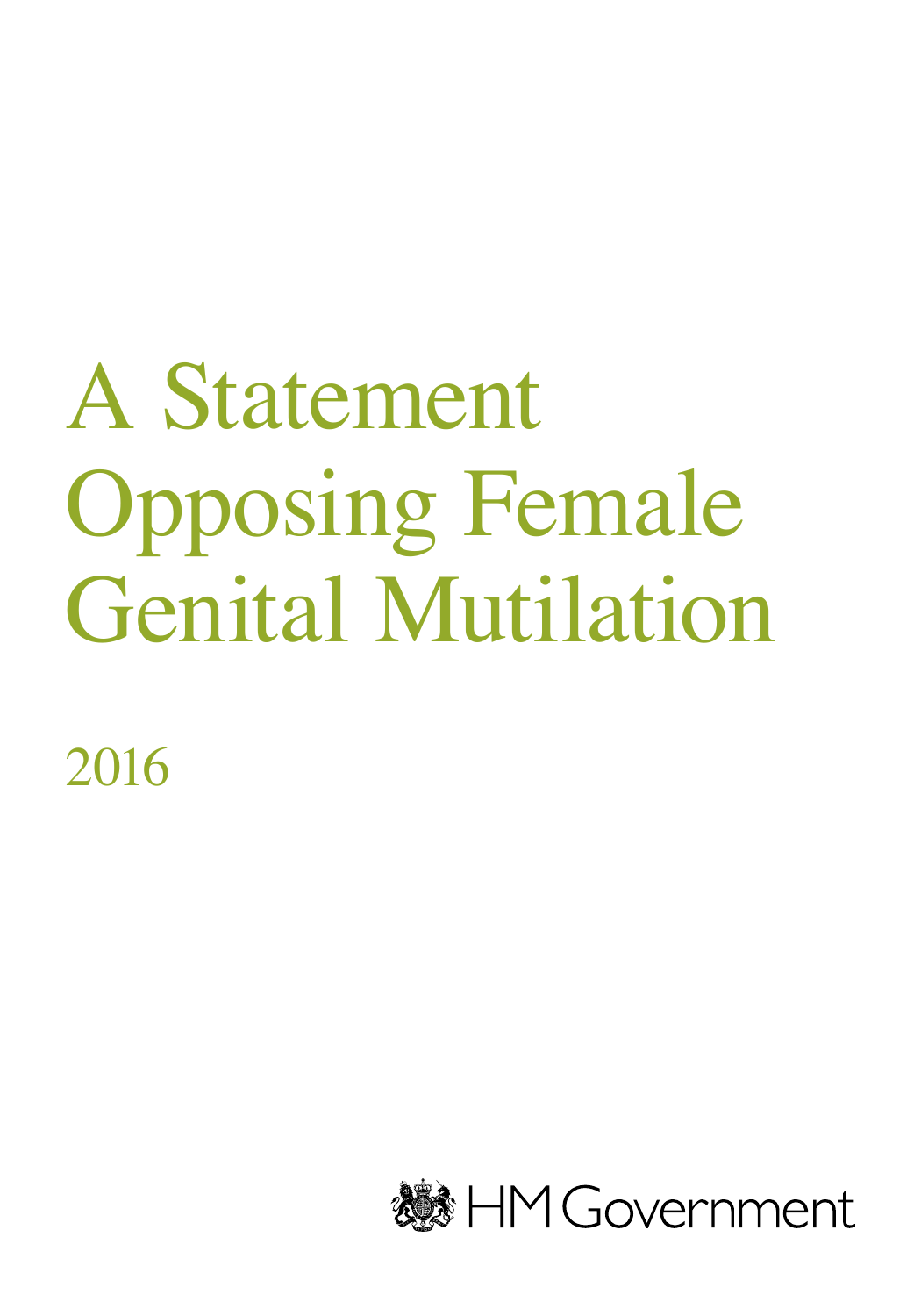## A Statement Opposing Female Genital Mutilation

2016

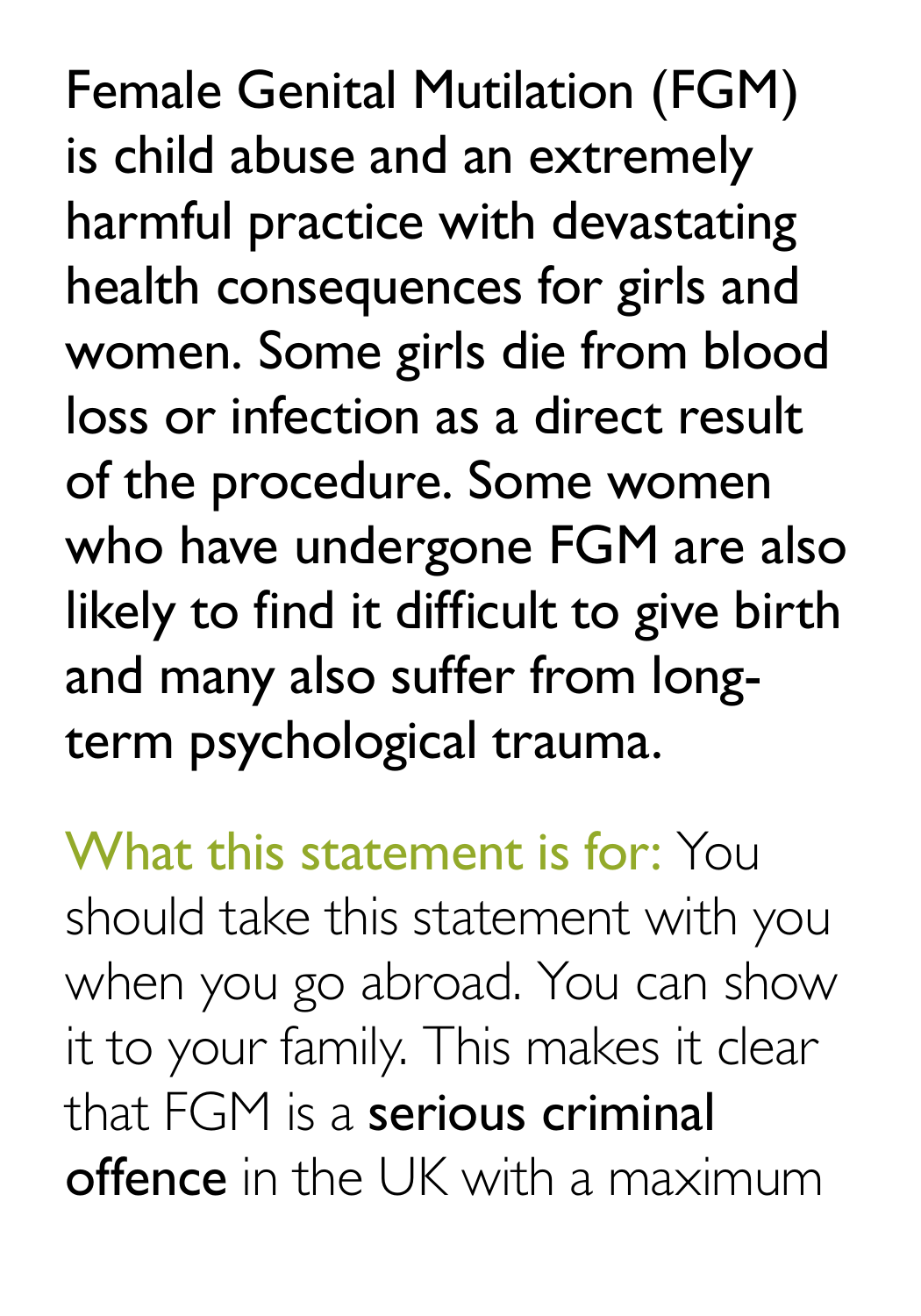Female Genital Mutilation (FGM) is child abuse and an extremely harmful practice with devastating health consequences for girls and women. Some girls die from blood loss or infection as a direct result of the procedure. Some women who have undergone FGM are also likely to find it difficult to give birth and many also suffer from longterm psychological trauma.

## What this statement is for: You

should take this statement with you when you go abroad. You can show it to your family. This makes it clear that FGM is a serious criminal offence in the UK with a maximum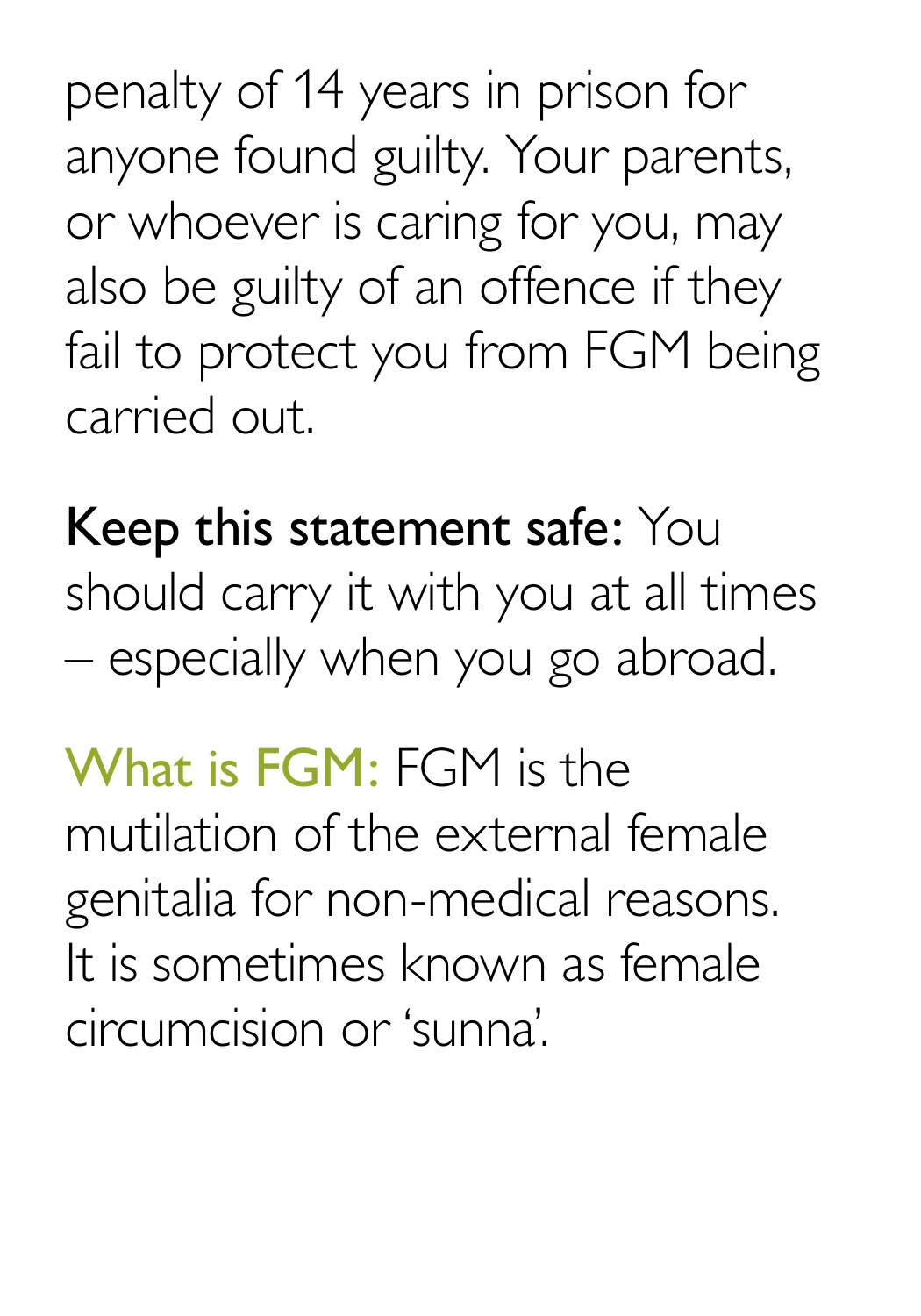penalty of 14 years in prison for anyone found guilty. Your parents, or whoever is caring for you, may also be guilty of an offence if they fail to protect you from FGM being carried out.

Keep this statement safe: You should carry it with you at all times – especially when you go abroad.

What is FGM: FGM is the mutilation of the external female genitalia for non-medical reasons. It is sometimes known as female circumcision or 'sunna'.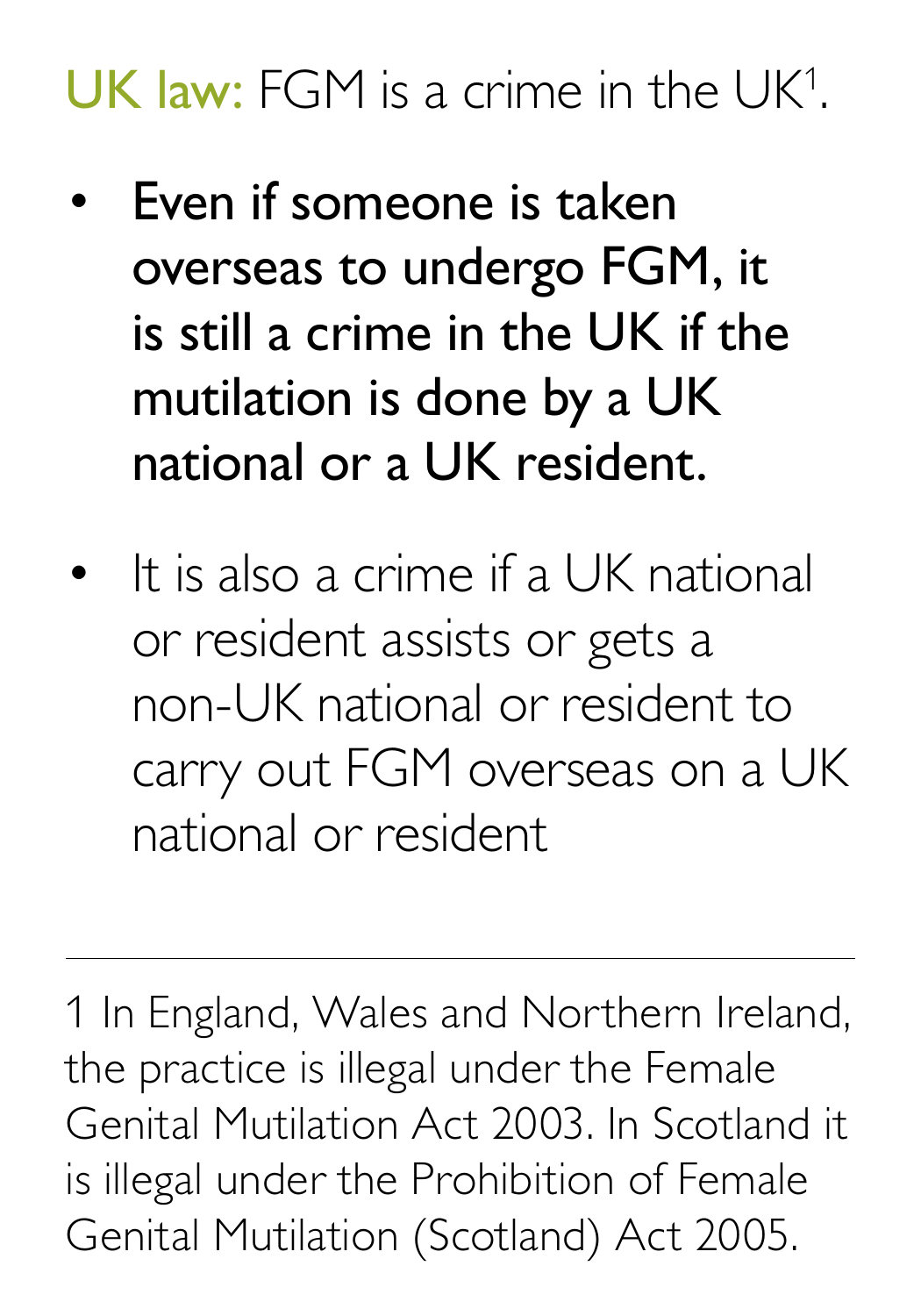## UK law: FGM is a crime in the UK<sup>1</sup> .

- Even if someone is taken overseas to undergo FGM, it is still a crime in the UK if the mutilation is done by a UK national or a UK resident.
- It is also a crime if a UK national or resident assists or gets a non-UK national or resident to carry out FGM overseas on a UK national or resident

1 In England, Wales and Northern Ireland, the practice is illegal under the Female Genital Mutilation Act 2003. In Scotland it is illegal under the Prohibition of Female Genital Mutilation (Scotland) Act 2005.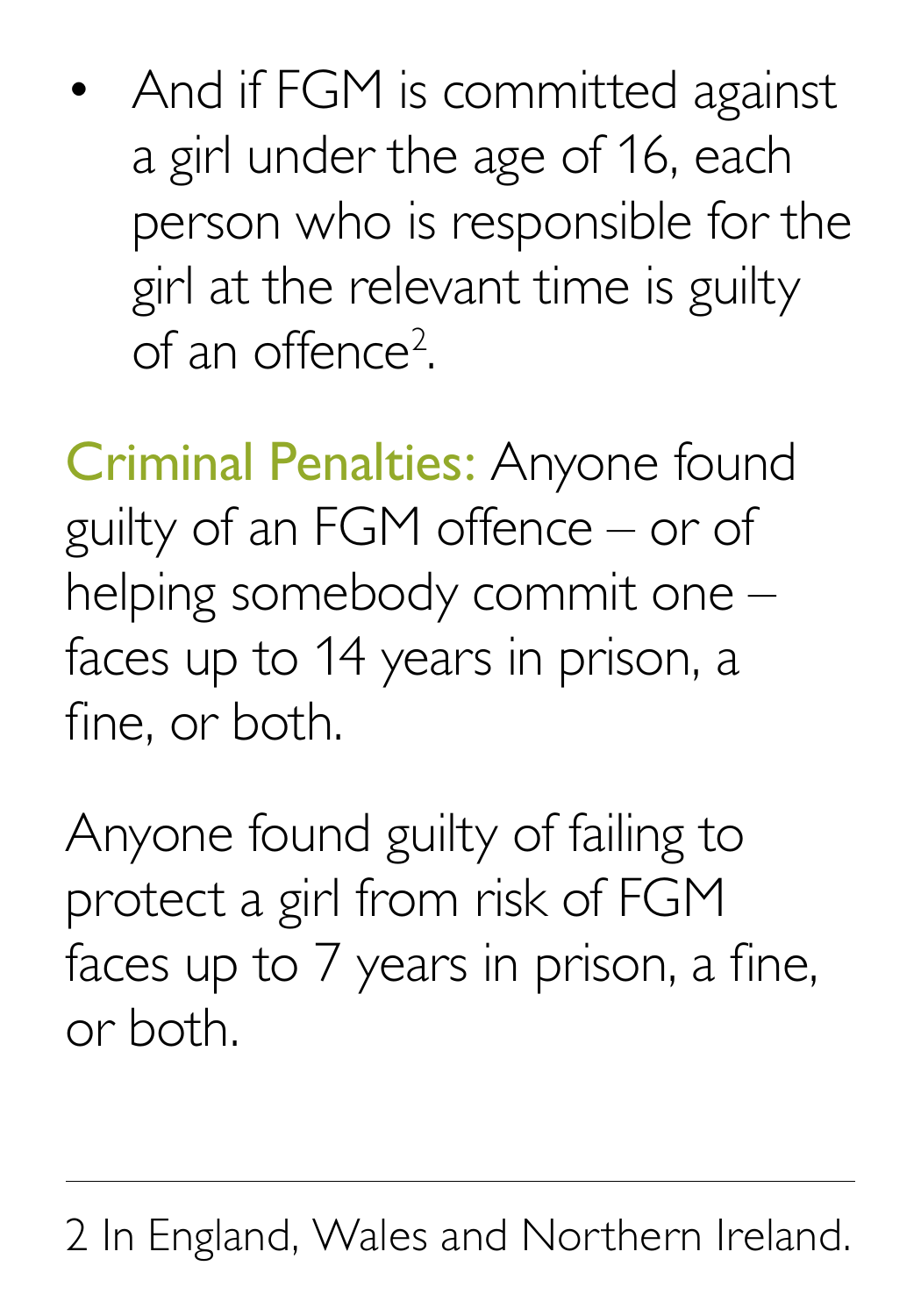• And if FGM is committed against a girl under the age of 16, each person who is responsible for the girl at the relevant time is guilty of an offence<sup>2</sup> .

Criminal Penalties: Anyone found guilty of an FGM offence – or of helping somebody commit one – faces up to 14 years in prison, a fine, or both.

Anyone found guilty of failing to protect a girl from risk of FGM faces up to 7 years in prison, a fine, or both.

2 In England, Wales and Northern Ireland.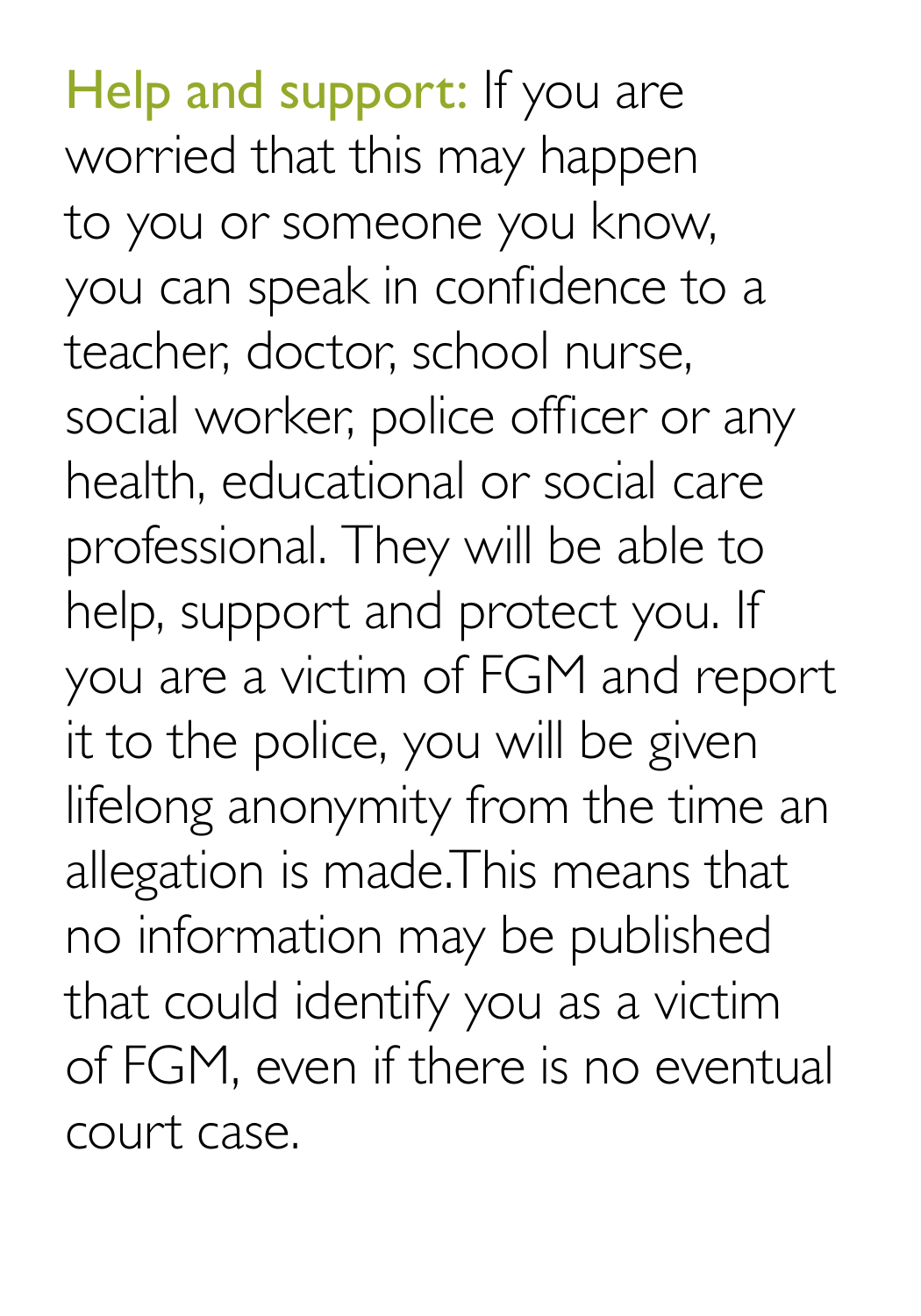Help and support: If you are worried that this may happen to you or someone you know, you can speak in confidence to a teacher, doctor, school nurse, social worker, police officer or any health, educational or social care professional. They will be able to help, support and protect you. If you are a victim of FGM and report it to the police, you will be given lifelong anonymity from the time an allegation is made.This means that no information may be published that could identify you as a victim of FGM, even if there is no eventual court case.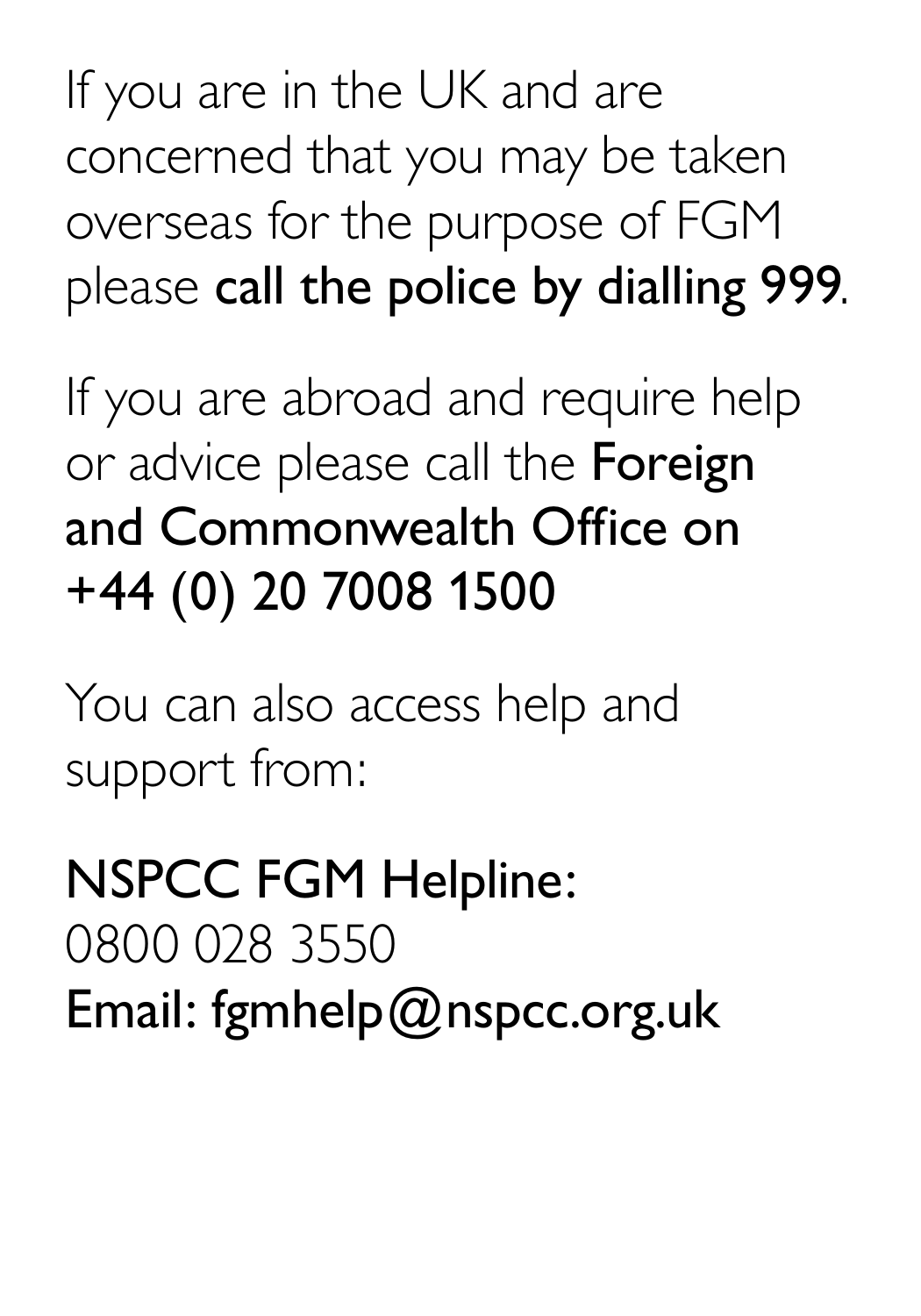If you are in the UK and are concerned that you may be taken overseas for the purpose of FGM please call the police by dialling 999.

If you are abroad and require help or advice please call the **Foreign** and Commonwealth Office on +44 (0) 20 7008 1500

You can also access help and support from:

NSPCC FGM Helpline: 0800 028 3550 Email: fgmhelp@nspcc.org.uk